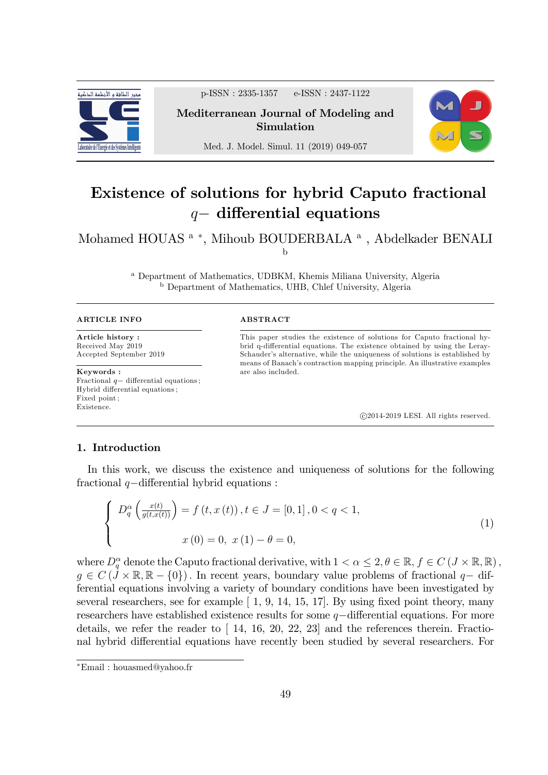

p-ISSN : 2335-1357 e-ISSN : 2437-1122

Mediterranean Journal of Modeling and Simulation



Med. J. Model. Simul. 11 (2019) 049-057

# Existence of solutions for hybrid Caputo fractional  $q-$  differential equations

Mohamed HOUAS<sup>a</sup>\*, Mihoub BOUDERBALA<sup>a</sup>, Abdelkader BENALI b

> <sup>a</sup> Department of Mathematics, UDBKM, Khemis Miliana University, Algeria <sup>b</sup> Department of Mathematics, UHB, Chlef University, Algeria

#### ARTICLE INFO

Article history : Received May 2019 Accepted September 2019

Keywords : Fractional  $q-$  differential equations ; Hybrid differential equations; Fixed point ; Existence.

#### ABSTRACT

This paper studies the existence of solutions for Caputo fractional hybrid q-differential equations. The existence obtained by using the Leray-Schauder's alternative, while the uniqueness of solutions is established by means of Banach's contraction mapping principle. An illustrative examples are also included.

c 2014-2019 LESI. All rights reserved.

# 1. Introduction

In this work, we discuss the existence and uniqueness of solutions for the following fractional  $q$ -differential hybrid equations :

$$
\begin{cases}\nD_q^{\alpha}\left(\frac{x(t)}{g(t,x(t))}\right) = f\left(t, x\left(t\right)\right), t \in J = [0,1], 0 < q < 1, \\
x(0) = 0, x(1) - \theta = 0,\n\end{cases} \tag{1}
$$

where  $D_q^{\alpha}$  denote the Caputo fractional derivative, with  $1 < \alpha \leq 2, \theta \in \mathbb{R}, f \in C \left( J \times \mathbb{R}, \mathbb{R} \right)$ ,  $g \in C(J \times \mathbb{R}, \mathbb{R} - \{0\})$ . In recent years, boundary value problems of fractional  $q$ -differential equations involving a variety of boundary conditions have been investigated by several researchers, see for example  $\left[ 1, 9, 14, 15, 17 \right]$ . By using fixed point theory, many researchers have established existence results for some  $q$ -differential equations. For more details, we refer the reader to  $[14, 16, 20, 22, 23]$  and the references therein. Fractional hybrid differential equations have recently been studied by several researchers. For

Email : houasmed@yahoo.fr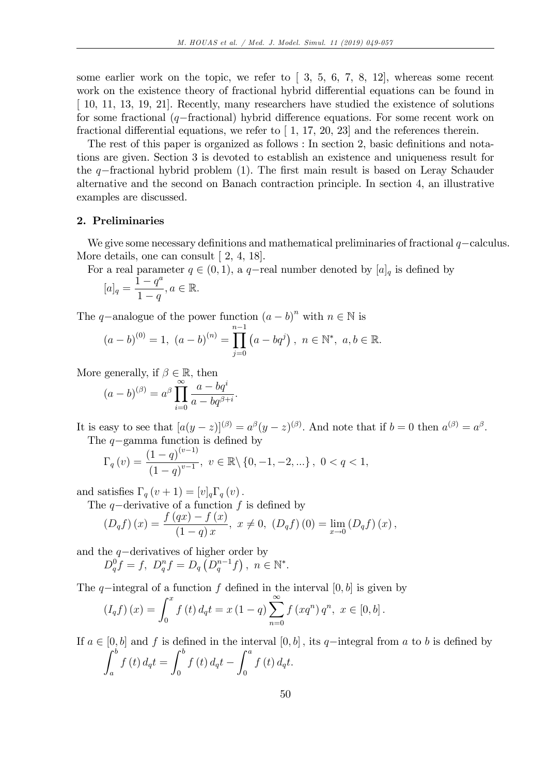some earlier work on the topic, we refer to  $\lbrack 3, 5, 6, 7, 8, 12 \rbrack$ , whereas some recent work on the existence theory of fractional hybrid differential equations can be found in [ 10, 11, 13, 19, 21]. Recently, many researchers have studied the existence of solutions for some fractional  $(q$ -fractional) hybrid difference equations. For some recent work on fractional differential equations, we refer to  $[1, 17, 20, 23]$  and the references therein.

The rest of this paper is organized as follows : In section 2, basic definitions and notations are given. Section 3 is devoted to establish an existence and uniqueness result for the  $q$ -fractional hybrid problem (1). The first main result is based on Leray Schauder alternative and the second on Banach contraction principle. In section 4, an illustrative examples are discussed.

## 2. Preliminaries

We give some necessary definitions and mathematical preliminaries of fractional  $q$ -calculus. More details, one can consult [2, 4, 18].

For a real parameter  $q \in (0, 1)$ , a q-real number denoted by  $[a]_q$  is defined by

$$
[a]_q = \frac{1 - q^a}{1 - q}, a \in \mathbb{R}.
$$

The q-analogue of the power function  $(a - b)^n$  with  $n \in \mathbb{N}$  is

$$
(a-b)^{(0)} = 1, (a-b)^{(n)} = \prod_{j=0}^{n-1} (a-bq^j), n \in \mathbb{N}^*, a, b \in \mathbb{R}.
$$

More generally, if  $\beta \in \mathbb{R}$ , then

$$
(a-b)^{(\beta)} = a^{\beta} \prod_{i=0}^{\infty} \frac{a - bq^{i}}{a - bq^{\beta+i}}.
$$

It is easy to see that  $[a(y-z)]^{(\beta)} = a^{\beta}(y-z)^{(\beta)}$ . And note that if  $b=0$  then  $a^{(\beta)} = a^{\beta}$ . The  $q$ -gamma function is defined by

$$
\Gamma_q(v) = \frac{(1-q)^{(v-1)}}{(1-q)^{v-1}}, \ v \in \mathbb{R} \setminus \{0, -1, -2, \ldots\}, \ 0 < q < 1,
$$

and satisfies  $\Gamma_q(v + 1) = [v]_q \Gamma_q(v)$ .

The q-derivative of a function f is defined by

$$
(D_q f)(x) = \frac{f(qx) - f(x)}{(1 - q)x}, \ x \neq 0, \ (D_q f)(0) = \lim_{x \to 0} (D_q f)(x),
$$

and the  $q$ -derivatives of higher order by  $D_q^0 f = f$ ,  $D_q^n f = D_q (D_q^{n-1} f)$ ,  $n \in \mathbb{N}^*$ .

The q-integral of a function f defined in the interval  $[0, b]$  is given by

$$
(I_q f)(x) = \int_0^x f(t) d_q t = x (1-q) \sum_{n=0}^\infty f(xq^n) q^n, \ x \in [0, b].
$$

If  $a \in [0, b]$  and f is defined in the interval  $[0, b]$ , its q-integral from a to b is defined by  $\int^b$ a  $f\left(t\right)d_{q}t =$  $\int^b$  $\int\limits_{0}^{t} f(t) d_{q}t \int_a^a$ 0  $f(t) d_q t.$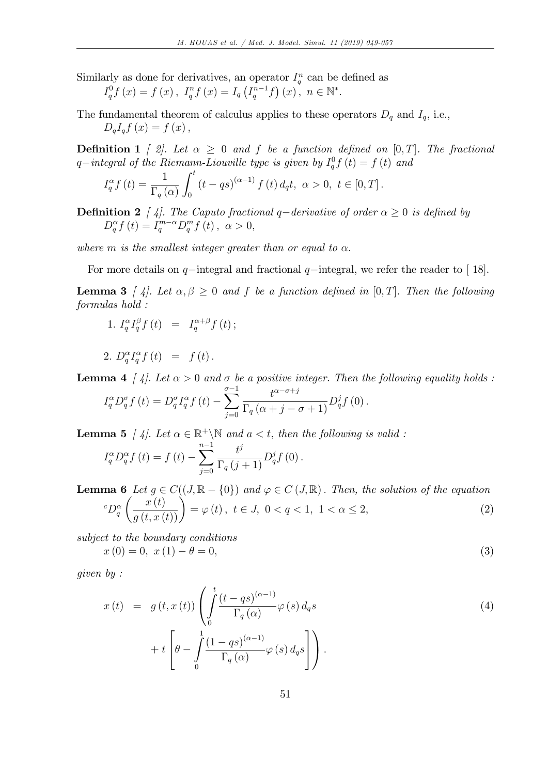Similarly as done for derivatives, an operator  $I_q^n$  can be defined as

$$
I_q^0 f(x) = f(x), I_q^n f(x) = I_q (I_q^{n-1} f)(x), n \in \mathbb{N}^*.
$$

The fundamental theorem of calculus applies to these operators  $D_q$  and  $I_q$ , i.e.,  $D_qI_qf(x) = f(x)$ ,

**Definition 1** [ 2]. Let  $\alpha > 0$  and f be a function defined on  $[0, T]$ . The fractional q-integral of the Riemann-Liouville type is given by  $I_q^0 f(t) = f(t)$  and

$$
I_q^{\alpha} f(t) = \frac{1}{\Gamma_q(\alpha)} \int_0^t (t - qs)^{(\alpha - 1)} f(t) d_q t, \ \alpha > 0, \ t \in [0, T].
$$

**Definition 2** [4]. The Caputo fractional q-derivative of order  $\alpha \geq 0$  is defined by  $D_q^{\alpha} f(t) = I_q^{m-\alpha} D_q^m f(t)$ ,  $\alpha > 0$ ,

where m is the smallest integer greater than or equal to  $\alpha$ .

For more details on  $q$ -integral and fractional  $q$ -integral, we refer the reader to [18].

**Lemma 3** [4]. Let  $\alpha, \beta \geq 0$  and f be a function defined in [0, T]. Then the following formulas hold :

1. 
$$
I_q^{\alpha} I_q^{\beta} f(t) = I_q^{\alpha+\beta} f(t);
$$

$$
2. D_q^{\alpha} I_q^{\alpha} f(t) = f(t).
$$

**Lemma 4** [4]. Let  $\alpha > 0$  and  $\sigma$  be a positive integer. Then the following equality holds :

$$
I_q^{\alpha} D_q^{\sigma} f(t) = D_q^{\sigma} I_q^{\alpha} f(t) - \sum_{j=0}^{\sigma-1} \frac{t^{\alpha-\sigma+j}}{\Gamma_q(\alpha+j-\sigma+1)} D_q^j f(0).
$$

**Lemma 5** [4]. Let  $\alpha \in \mathbb{R}^+ \backslash \mathbb{N}$  and  $a < t$ , then the following is valid:  $I_q^{\alpha}D_q^{\alpha}f(t) = f(t)$  $\sum_{n=1}^{n+1}$  $j=0$  $t^j$  $\frac{\partial}{\partial \Gamma_q(j+1)}D_q^jf(0).$ 

**Lemma 6** Let  $g \in C((J, \mathbb{R} - \{0\})$  and  $\varphi \in C(J, \mathbb{R})$ . Then, the solution of the equation  ${}^cD_q^{\alpha}$  $\left(\frac{x(t)}{g(t,x(t))}\right) = \varphi(t), \ t \in J, \ 0 < q < 1, \ 1 < \alpha \le 2,$ (2)

subject to the boundary conditions  $x(0) = 0, x(1) - \theta = 0,$  (3)

given by :

$$
x(t) = g(t, x(t)) \left( \int_0^t \frac{(t - qs)^{(\alpha - 1)}}{\Gamma_q(\alpha)} \varphi(s) d_q s \right) + t \left[ \theta - \int_0^1 \frac{(1 - qs)^{(\alpha - 1)}}{\Gamma_q(\alpha)} \varphi(s) d_q s \right] \right).
$$
\n(4)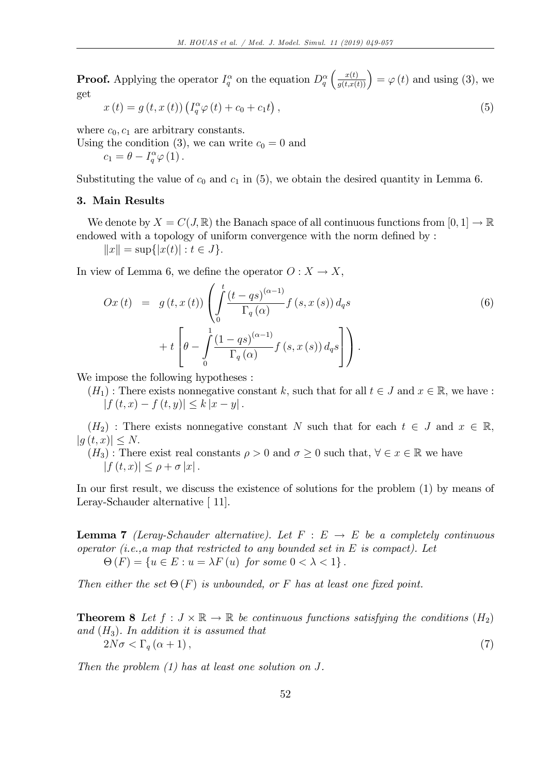**Proof.** Applying the operator  $I_q^{\alpha}$  on the equation  $D_q^{\alpha}$  $\left(\frac{x(t)}{g(t,x(t))}\right) = \varphi(t)$  and using (3), we get

$$
x(t) = g(t, x(t)) \left( I_q^{\alpha} \varphi(t) + c_0 + c_1 t \right), \qquad (5)
$$

where  $c_0$ ,  $c_1$  are arbitrary constants.

Using the condition (3), we can write  $c_0 = 0$  and  $c_1 = \theta - I_q^{\alpha} \varphi(1)$ .

Substituting the value of  $c_0$  and  $c_1$  in (5), we obtain the desired quantity in Lemma 6.

## 3. Main Results

We denote by  $X = C(J, \mathbb{R})$  the Banach space of all continuous functions from  $[0, 1] \to \mathbb{R}$ endowed with a topology of uniform convergence with the norm defined by :

 $||x|| = \sup{ |x(t)| : t \in J }.$ 

In view of Lemma 6, we define the operator  $O: X \to X$ ,

$$
Ox(t) = g(t, x(t)) \left( \int_0^t \frac{(t - qs)^{(\alpha - 1)}}{\Gamma_q(\alpha)} f(s, x(s)) d_q s \right) + t \left[ \theta - \int_0^1 \frac{(1 - qs)^{(\alpha - 1)}}{\Gamma_q(\alpha)} f(s, x(s)) d_q s \right] \right).
$$
\n(6)

We impose the following hypotheses :

 $(H_1)$ : There exists nonnegative constant k, such that for all  $t \in J$  and  $x \in \mathbb{R}$ , we have :  $|f(t, x) - f(t, y)| \leq k |x - y|$ .

 $(H_2)$ : There exists nonnegative constant N such that for each  $t \in J$  and  $x \in \mathbb{R}$ ,  $|q(t, x)| < N.$ 

 $(H_3)$ : There exist real constants  $\rho > 0$  and  $\sigma \geq 0$  such that,  $\forall \epsilon \in \mathbb{R}$  we have  $|f(t, x)| \leq \rho + \sigma |x|$ .

In our first result, we discuss the existence of solutions for the problem (1) by means of Leray-Schauder alternative [ 11].

**Lemma 7** (Leray-Schauder alternative). Let  $F : E \rightarrow E$  be a completely continuous operator (i.e., a map that restricted to any bounded set in  $E$  is compact). Let  $\Theta(F) = \{u \in E : u = \lambda F(u) \text{ for some } 0 < \lambda < 1\}.$ 

Then either the set  $\Theta(F)$  is unbounded, or F has at least one fixed point.

**Theorem 8** Let  $f: J \times \mathbb{R} \to \mathbb{R}$  be continuous functions satisfying the conditions  $(H_2)$ and  $(H_3)$ . In addition it is assumed that  $2N\sigma < \Gamma_q(\alpha+1),$  (7)

Then the problem (1) has at least one solution on J.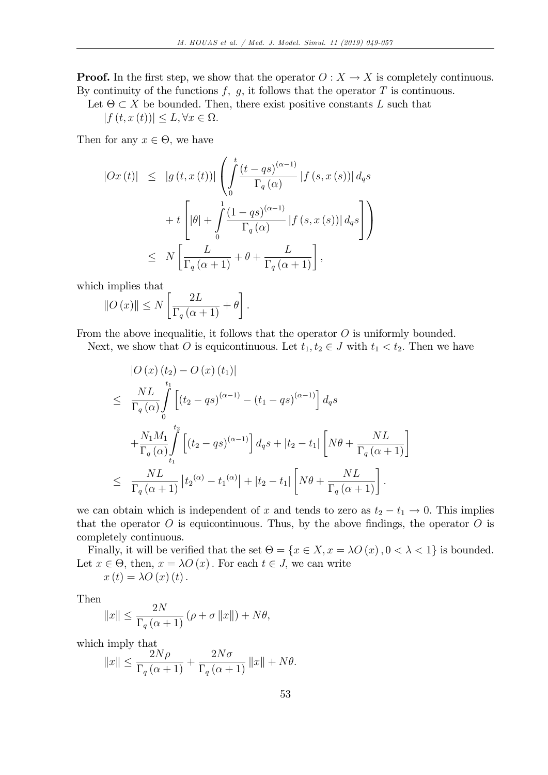**Proof.** In the first step, we show that the operator  $O: X \to X$  is completely continuous. By continuity of the functions  $f, g$ , it follows that the operator  $T$  is continuous.

Let  $\Theta \subset X$  be bounded. Then, there exist positive constants L such that

 $|f(t, x(t))| \leq L, \forall x \in \Omega.$ 

Then for any  $x \in \Theta$ , we have

$$
\begin{array}{rcl} \left|Ox\left(t\right)\right| & \leq & \left|g\left(t,x\left(t\right)\right)\right| \left(\displaystyle\int\limits_0^t \frac{\left(t-qs\right)^{\left(\alpha-1\right)}}{\Gamma_q\left(\alpha\right)} \left|f\left(s,x\left(s\right)\right)\right| d_q s \right. \\ & & \left.+ t\left[\left|\theta\right| + \displaystyle\int\limits_0^1 \frac{\left(1-qs\right)^{\left(\alpha-1\right)}}{\Gamma_q\left(\alpha\right)} \left|f\left(s,x\left(s\right)\right)\right| d_q s\right] \right) \right) \\ & \leq & N\left[\displaystyle\frac{L}{\Gamma_q\left(\alpha+1\right)} + \theta + \displaystyle\frac{L}{\Gamma_q\left(\alpha+1\right)}\right], \end{array}
$$

which implies that

$$
||O(x)|| \le N \left[ \frac{2L}{\Gamma_q(\alpha+1)} + \theta \right].
$$

From the above inequalitie, it follows that the operator  $O$  is uniformly bounded.

Next, we show that O is equicontinuous. Let  $t_1, t_2 \in J$  with  $t_1 < t_2$ . Then we have

$$
\begin{split}\n&\left|O\left(x\right)\left(t_{2}\right)-O\left(x\right)\left(t_{1}\right)\right| \\
&\leq\frac{NL}{\Gamma_{q}\left(\alpha\right)}\int_{0}^{t_{1}}\left[\left(t_{2}-qs\right)^{\left(\alpha-1\right)}-\left(t_{1}-qs\right)^{\left(\alpha-1\right)}\right]d_{q}s \\
&+\frac{N_{1}M_{1}}{\Gamma_{q}\left(\alpha\right)}\int_{t_{1}}^{t_{2}}\left[\left(t_{2}-qs\right)^{\left(\alpha-1\right)}\right]d_{q}s+\left|t_{2}-t_{1}\right|\left[N\theta+\frac{NL}{\Gamma_{q}\left(\alpha+1\right)}\right] \\
&\leq\frac{NL}{\Gamma_{q}\left(\alpha+1\right)}\left|t_{2}\right(\alpha)-t_{1}\right(\alpha)+\left|t_{2}-t_{1}\right|\left[N\theta+\frac{NL}{\Gamma_{q}\left(\alpha+1\right)}\right].\n\end{split}
$$

we can obtain which is independent of x and tends to zero as  $t_2 - t_1 \rightarrow 0$ . This implies that the operator  $O$  is equicontinuous. Thus, by the above findings, the operator  $O$  is completely continuous.

Finally, it will be verified that the set  $\Theta = \{x \in X, x = \lambda O(x), 0 < \lambda < 1\}$  is bounded. Let  $x \in \Theta$ , then,  $x = \lambda O(x)$ . For each  $t \in J$ , we can write

 $x(t) = \lambda O(x(t);$ 

Then

$$
||x|| \le \frac{2N}{\Gamma_q(\alpha+1)} (\rho + \sigma ||x||) + N\theta,
$$

which imply that

$$
||x|| \le \frac{2N\rho}{\Gamma_q(\alpha+1)} + \frac{2N\sigma}{\Gamma_q(\alpha+1)} ||x|| + N\theta.
$$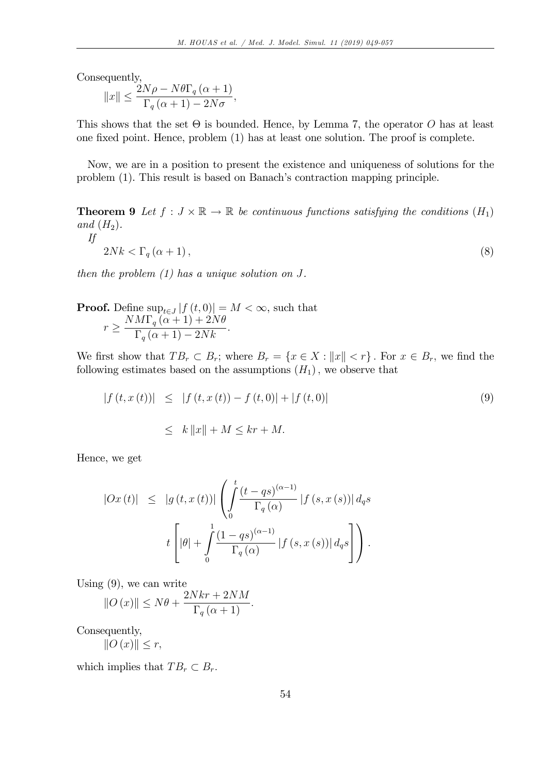Consequently,

If

$$
||x|| \le \frac{2N\rho - N\theta \Gamma_q \left(\alpha + 1\right)}{\Gamma_q \left(\alpha + 1\right) - 2N\sigma},
$$

This shows that the set  $\Theta$  is bounded. Hence, by Lemma 7, the operator O has at least one Öxed point. Hence, problem (1) has at least one solution. The proof is complete.

Now, we are in a position to present the existence and uniqueness of solutions for the problem (1). This result is based on Banach's contraction mapping principle.

**Theorem 9** Let  $f: J \times \mathbb{R} \to \mathbb{R}$  be continuous functions satisfying the conditions  $(H_1)$ and  $(H_2)$ .

$$
2Nk < \Gamma_q(\alpha + 1),\tag{8}
$$

then the problem  $(1)$  has a unique solution on J.

**Proof.** Define 
$$
\sup_{t \in J} |f(t, 0)| = M < \infty
$$
, such that  $r \ge \frac{N M \Gamma_q (\alpha + 1) + 2N \theta}{\Gamma_q (\alpha + 1) - 2N k}$ .

We first show that  $TB_r \subset B_r$ ; where  $B_r = \{x \in X : ||x|| < r\}$ . For  $x \in B_r$ , we find the following estimates based on the assumptions  $(H_1)$ , we observe that

$$
|f(t, x(t))| \leq |f(t, x(t)) - f(t, 0)| + |f(t, 0)|
$$
  

$$
\leq k ||x|| + M \leq kr + M.
$$
 (9)

Hence, we get

$$
|Ox(t)| \leq |g(t, x(t))| \left( \int_0^t \frac{(t - qs)^{(\alpha - 1)}}{\Gamma_q(\alpha)} |f(s, x(s))| \, d_q s \right)
$$
  

$$
t \left[ |\theta| + \int_0^1 \frac{(1 - qs)^{(\alpha - 1)}}{\Gamma_q(\alpha)} |f(s, x(s))| \, d_q s \right] \right).
$$

Using (9), we can write

$$
||O(x)|| \le N\theta + \frac{2Nkr + 2NM}{\Gamma_q(\alpha + 1)}.
$$

Consequently,

$$
||O(x)|| \leq r,
$$

which implies that  $TB_r \subset B_r$ .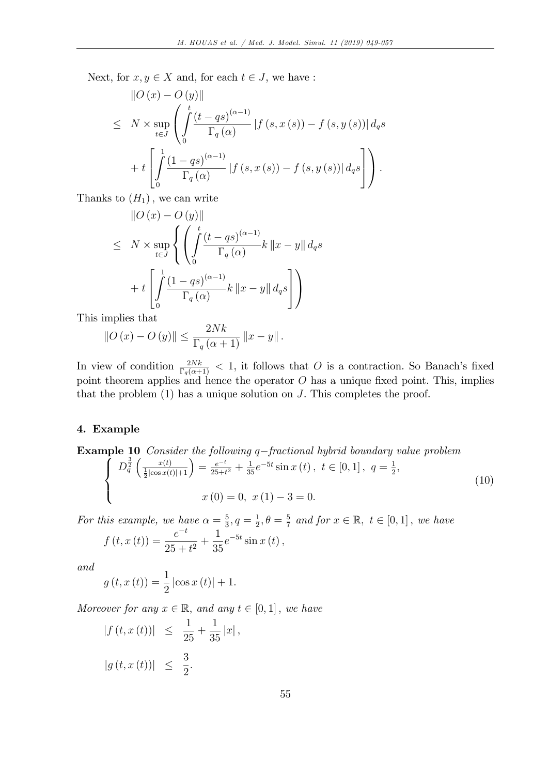Next, for  $x, y \in X$  and, for each  $t \in J$ , we have :

$$
\|O(x) - O(y)\|
$$
\n
$$
\leq N \times \sup_{t \in J} \left( \int_{0}^{t} \frac{(t - qs)^{(\alpha - 1)}}{\Gamma_q(\alpha)} |f(s, x(s)) - f(s, y(s))| \, d_q s \right)
$$
\n
$$
+ t \left[ \int_{0}^{1} \frac{(1 - qs)^{(\alpha - 1)}}{\Gamma_q(\alpha)} |f(s, x(s)) - f(s, y(s))| \, d_q s \right] \right).
$$

Thanks to  $(H_1)$ , we can write

$$
\|O(x) - O(y)\|
$$
  
\n
$$
\leq N \times \sup_{t \in J} \left\{ \left( \int_0^t \frac{(t - qs)^{(\alpha - 1)}}{\Gamma_q(\alpha)} k \|x - y\| \, d_q s \right) + t \left[ \int_0^1 \frac{(1 - qs)^{(\alpha - 1)}}{\Gamma_q(\alpha)} k \|x - y\| \, d_q s \right] \right\}
$$

This implies that

$$
||O(x) - O(y)|| \le \frac{2Nk}{\Gamma_q(\alpha+1)} ||x - y||.
$$

In view of condition  $\frac{2Nk}{\Gamma_q(\alpha+1)} < 1$ , it follows that O is a contraction. So Banach's fixed point theorem applies and hence the operator  $O$  has a unique fixed point. This, implies that the problem (1) has a unique solution on J. This completes the proof.

# 4. Example

**Example 10** Consider the following q–fractional hybrid boundary value problem  
\n
$$
\begin{cases}\nD_q^{\frac{3}{2}}\left(\frac{x(t)}{\frac{1}{2}|\cos x(t)|+1}\right) = \frac{e^{-t}}{25+t^2} + \frac{1}{35}e^{-5t}\sin x(t), \ t \in [0,1], \ q = \frac{1}{2}, \\
x(0) = 0, \ x(1) - 3 = 0.\n\end{cases}
$$
\n(10)

For this example, we have  $\alpha = \frac{5}{3}$  $\frac{5}{3}, q = \frac{1}{2}$  $\frac{1}{2}, \theta = \frac{5}{7}$  $\frac{5}{7}$  and for  $x \in \mathbb{R}, t \in [0,1]$ , we have  $f(t, x(t)) = \frac{e^{-t}}{25}$  $\frac{c}{25+t^2} +$ 1 35  $e^{-5t}\sin x(t)$ ,

and

$$
g(t, x(t)) = \frac{1}{2} |\cos x(t)| + 1.
$$

Moreover for any  $x \in \mathbb{R}$ , and any  $t \in [0, 1]$ , we have

$$
|f(t, x(t))| \le \frac{1}{25} + \frac{1}{35} |x|,
$$
  
 $|g(t, x(t))| \le \frac{3}{2}.$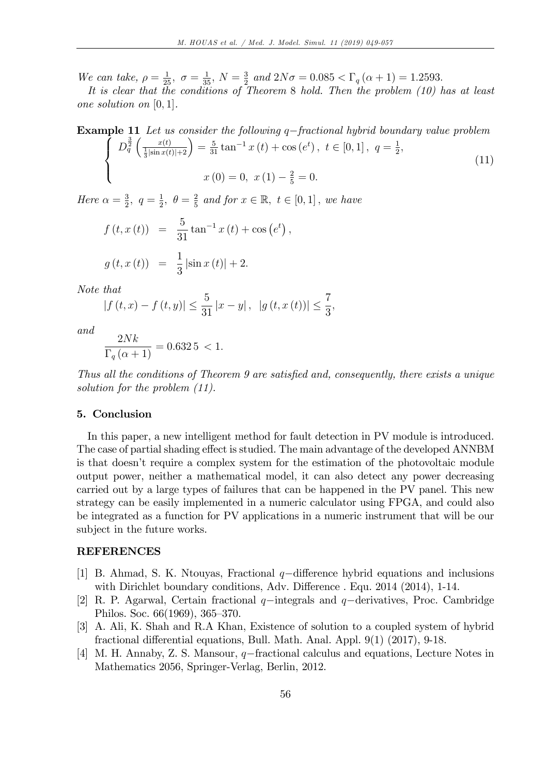We can take,  $\rho = \frac{1}{25}, \sigma = \frac{1}{35}, N = \frac{3}{25}$  $\frac{3}{2}$  and  $2N\sigma = 0.085 < \Gamma_q(\alpha + 1) = 1.2593$ .

It is clear that the conditions of Theorem 8 hold. Then the problem (10) has at least one solution on  $[0, 1]$ .

**Example 11** Let us consider the following q–fractional hybrid boundary value problem\n
$$
\begin{cases}\nD_q^{\frac{3}{2}}\left(\frac{x(t)}{\frac{1}{3}|\sin x(t)|+2}\right) = \frac{5}{31}\tan^{-1}x(t) + \cos(e^t), \ t \in [0,1], \ q = \frac{1}{2}, \\
x(0) = 0, \ x(1) - \frac{2}{5} = 0.\n\end{cases}
$$
\n(11)

Here  $\alpha = \frac{3}{2}$  $\frac{3}{2},\, q=\frac{1}{2}$  $\frac{1}{2}, \theta = \frac{2}{5}$  $\frac{2}{5}$  and for  $x \in \mathbb{R}, t \in [0,1]$ , we have

$$
f(t, x(t)) = \frac{5}{31} \tan^{-1} x(t) + \cos (e^t),
$$
  

$$
g(t, x(t)) = \frac{1}{3} |\sin x(t)| + 2.
$$

Note that

$$
|f(t,x)-f(t,y)| \leq \frac{5}{31}|x-y|, |g(t,x(t))| \leq \frac{7}{3},
$$

and

$$
\frac{2Nk}{\Gamma_q(\alpha+1)} = 0.6325 < 1.
$$

Thus all the conditions of Theorem 9 are satisfied and, consequently, there exists a unique solution for the problem (11).

#### 5. Conclusion

In this paper, a new intelligent method for fault detection in PV module is introduced. The case of partial shading effect is studied. The main advantage of the developed ANNBM is that doesnít require a complex system for the estimation of the photovoltaic module output power, neither a mathematical model, it can also detect any power decreasing carried out by a large types of failures that can be happened in the PV panel. This new strategy can be easily implemented in a numeric calculator using FPGA, and could also be integrated as a function for PV applications in a numeric instrument that will be our subject in the future works.

## REFERENCES

- [1] B. Ahmad, S. K. Ntouyas, Fractional  $q$ -difference hybrid equations and inclusions with Dirichlet boundary conditions, Adv. Difference . Equ.  $2014$   $(2014)$ , 1-14.
- [2] R. P. Agarwal, Certain fractional  $q$ -integrals and  $q$ -derivatives, Proc. Cambridge Philos. Soc. 66(1969), 365–370.
- [3] A. Ali, K. Shah and R.A Khan, Existence of solution to a coupled system of hybrid fractional differential equations, Bull. Math. Anal. Appl.  $9(1)$   $(2017)$ ,  $9-18$ .
- [4] M. H. Annaby, Z. S. Mansour,  $q$ -fractional calculus and equations, Lecture Notes in Mathematics 2056, Springer-Verlag, Berlin, 2012.